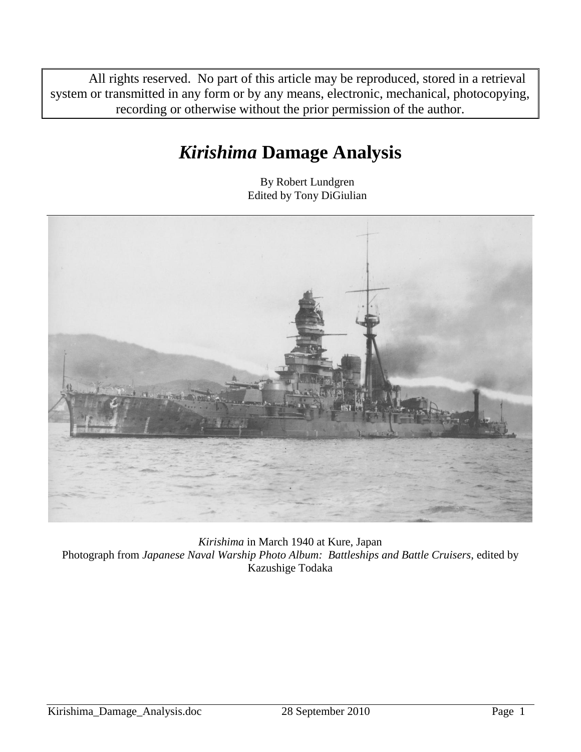All rights reserved. No part of this article may be reproduced, stored in a retrieval system or transmitted in any form or by any means, electronic, mechanical, photocopying, recording or otherwise without the prior permission of the author.

# *Kirishima* **Damage Analysis**

By Robert Lundgren Edited by Tony DiGiulian



*Kirishima* in March 1940 at Kure, Japan Photograph from *Japanese Naval Warship Photo Album: Battleships and Battle Cruisers*, edited by Kazushige Todaka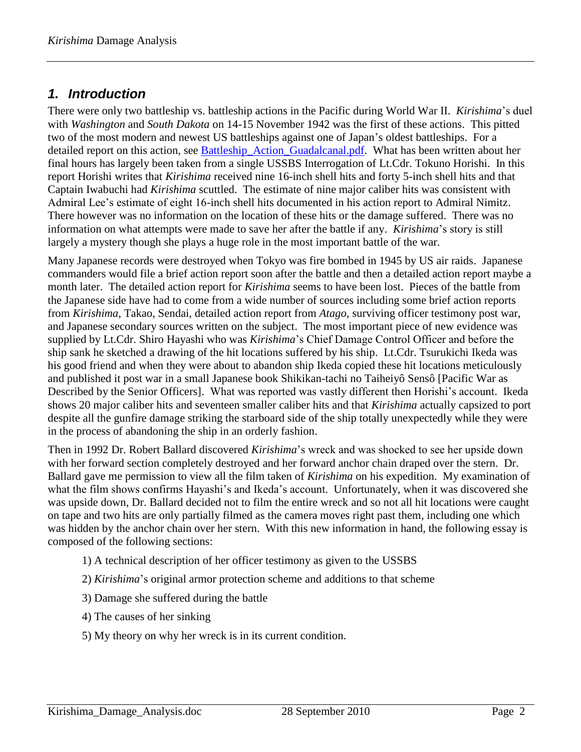#### *1. Introduction*

There were only two battleship vs. battleship actions in the Pacific during World War II. *Kirishima*'s duel with *Washington* and *South Dakota* on 14-15 November 1942 was the first of these actions. This pitted two of the most modern and newest US battleships against one of Japan's oldest battleships. For a detailed report on this action, see [Battleship\\_Action\\_Guadalcanal.pdf.](Battleship_Action_Guadalcanal.pdf) What has been written about her final hours has largely been taken from a single USSBS Interrogation of Lt.Cdr. [Tokuno Horishi.](http://www.ibiblio.org/hyperwar/AAF/USSBS/IJO/IJO-Bio.html#tokuno) In this report Horishi writes that *Kirishima* received nine 16-inch shell hits and forty 5-inch shell hits and that Captain Iwabuchi had *Kirishima* scuttled. The estimate of nine major caliber hits was consistent with Admiral Lee's estimate of eight 16-inch shell hits documented in his action report to Admiral Nimitz. There however was no information on the location of these hits or the damage suffered. There was no information on what attempts were made to save her after the battle if any. *Kirishima*'s story is still largely a mystery though she plays a huge role in the most important battle of the war.

Many Japanese records were destroyed when Tokyo was fire bombed in 1945 by US air raids. Japanese commanders would file a brief action report soon after the battle and then a detailed action report maybe a month later. The detailed action report for *Kirishima* seems to have been lost. Pieces of the battle from the Japanese side have had to come from a wide number of sources including some brief action reports from *Kirishima*, Takao, Sendai, detailed action report from *Atago*, surviving officer testimony post war, and Japanese secondary sources written on the subject. The most important piece of new evidence was supplied by Lt.Cdr. Shiro Hayashi who was *Kirishima*'s Chief Damage Control Officer and before the ship sank he sketched a drawing of the hit locations suffered by his ship. Lt.Cdr. Tsurukichi Ikeda was his good friend and when they were about to abandon ship Ikeda copied these hit locations meticulously and published it post war in a small Japanese book Shikikan-tachi no Taiheiyô Sensô [Pacific War as Described by the Senior Officers]. What was reported was vastly different then Horishi's account. Ikeda shows 20 major caliber hits and seventeen smaller caliber hits and that *Kirishima* actually capsized to port despite all the gunfire damage striking the starboard side of the ship totally unexpectedly while they were in the process of abandoning the ship in an orderly fashion.

Then in 1992 Dr. Robert Ballard discovered *Kirishima*'s wreck and was shocked to see her upside down with her forward section completely destroyed and her forward anchor chain draped over the stern. Dr. Ballard gave me permission to view all the film taken of *Kirishima* on his expedition. My examination of what the film shows confirms Hayashi's and Ikeda's account. Unfortunately, when it was discovered she was upside down, Dr. Ballard decided not to film the entire wreck and so not all hit locations were caught on tape and two hits are only partially filmed as the camera moves right past them, including one which was hidden by the anchor chain over her stern. With this new information in hand, the following essay is composed of the following sections:

- 1) A technical description of her officer testimony as given to the USSBS
- 2) *Kirishima*'s original armor protection scheme and additions to that scheme
- 3) Damage she suffered during the battle
- 4) The causes of her sinking
- 5) My theory on why her wreck is in its current condition.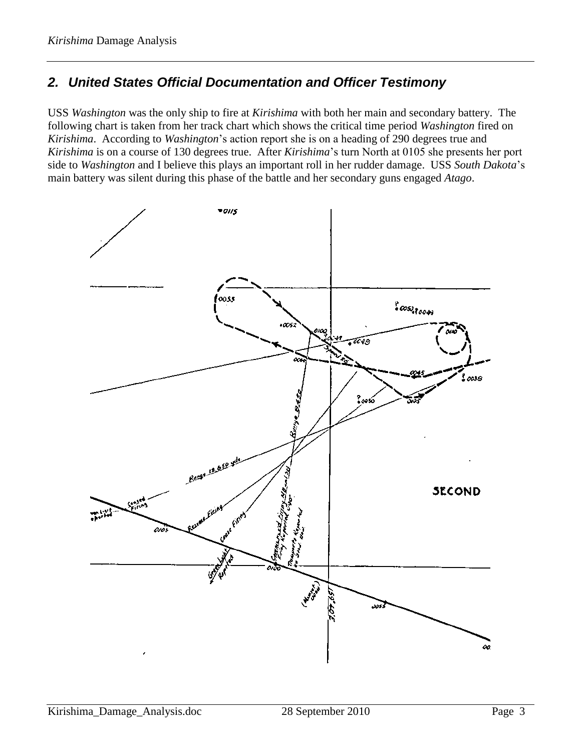## *2. United States Official Documentation and Officer Testimony*

USS *Washington* was the only ship to fire at *Kirishima* with both her main and secondary battery. The following chart is taken from her track chart which shows the critical time period *Washington* fired on *Kirishima*. According to *Washington*'s action report she is on a heading of 290 degrees true and *Kirishima* is on a course of 130 degrees true. After *Kirishima*'s turn North at 0105 she presents her port side to *Washington* and I believe this plays an important roll in her rudder damage. USS *South Dakota*'s main battery was silent during this phase of the battle and her secondary guns engaged *Atago*.

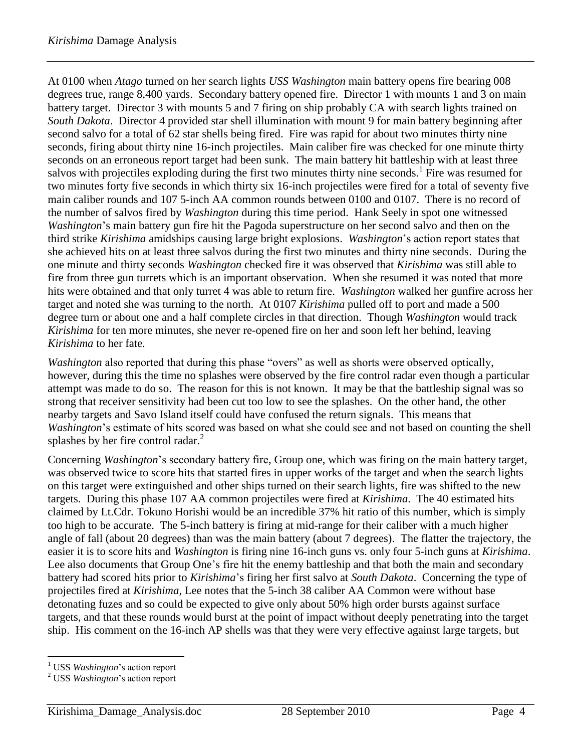At 0100 when *Atago* turned on her search lights *USS Washington* main battery opens fire bearing 008 degrees true, range 8,400 yards. Secondary battery opened fire. Director 1 with mounts 1 and 3 on main battery target. Director 3 with mounts 5 and 7 firing on ship probably CA with search lights trained on *South Dakota*. Director 4 provided star shell illumination with mount 9 for main battery beginning after second salvo for a total of 62 star shells being fired. Fire was rapid for about two minutes thirty nine seconds, firing about thirty nine 16-inch projectiles. Main caliber fire was checked for one minute thirty seconds on an erroneous report target had been sunk. The main battery hit battleship with at least three salvos with projectiles exploding during the first two minutes thirty nine seconds.<sup>1</sup> Fire was resumed for two minutes forty five seconds in which thirty six 16-inch projectiles were fired for a total of seventy five main caliber rounds and 107 5-inch AA common rounds between 0100 and 0107. There is no record of the number of salvos fired by *Washington* during this time period. Hank Seely in spot one witnessed *Washington*'s main battery gun fire hit the Pagoda superstructure on her second salvo and then on the third strike *Kirishima* amidships causing large bright explosions. *Washington*'s action report states that she achieved hits on at least three salvos during the first two minutes and thirty nine seconds. During the one minute and thirty seconds *Washington* checked fire it was observed that *Kirishima* was still able to fire from three gun turrets which is an important observation. When she resumed it was noted that more hits were obtained and that only turret 4 was able to return fire. *Washington* walked her gunfire across her target and noted she was turning to the north. At 0107 *Kirishima* pulled off to port and made a 500 degree turn or about one and a half complete circles in that direction. Though *Washington* would track *Kirishima* for ten more minutes, she never re-opened fire on her and soon left her behind, leaving *Kirishima* to her fate.

*Washington* also reported that during this phase "overs" as well as shorts were observed optically, however, during this the time no splashes were observed by the fire control radar even though a particular attempt was made to do so. The reason for this is not known. It may be that the battleship signal was so strong that receiver sensitivity had been cut too low to see the splashes. On the other hand, the other nearby targets and Savo Island itself could have confused the return signals. This means that *Washington*'s estimate of hits scored was based on what she could see and not based on counting the shell splashes by her fire control radar.<sup>2</sup>

Concerning *Washington*'s secondary battery fire, Group one, which was firing on the main battery target, was observed twice to score hits that started fires in upper works of the target and when the search lights on this target were extinguished and other ships turned on their search lights, fire was shifted to the new targets. During this phase 107 AA common projectiles were fired at *Kirishima*. The 40 estimated hits claimed by Lt.Cdr. Tokuno Horishi would be an incredible 37% hit ratio of this number, which is simply too high to be accurate. The 5-inch battery is firing at mid-range for their caliber with a much higher angle of fall (about 20 degrees) than was the main battery (about 7 degrees). The flatter the trajectory, the easier it is to score hits and *Washington* is firing nine 16-inch guns vs. only four 5-inch guns at *Kirishima*. Lee also documents that Group One's fire hit the enemy battleship and that both the main and secondary battery had scored hits prior to *Kirishima*'s firing her first salvo at *South Dakota*. Concerning the type of projectiles fired at *Kirishima*, Lee notes that the 5-inch 38 caliber AA Common were without base detonating fuzes and so could be expected to give only about 50% high order bursts against surface targets, and that these rounds would burst at the point of impact without deeply penetrating into the target ship. His comment on the 16-inch AP shells was that they were very effective against large targets, but

 $\overline{a}$ 

<sup>1</sup> USS *Washington*'s action report

<sup>2</sup> USS *Washington*'s action report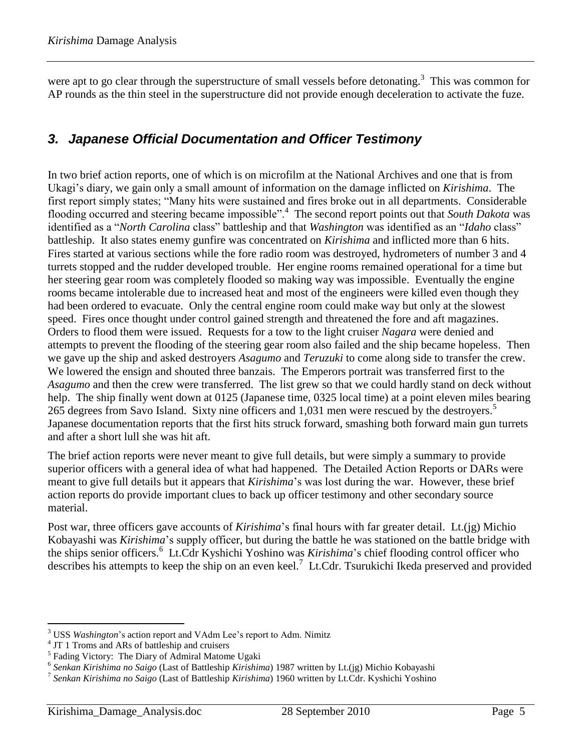were apt to go clear through the superstructure of small vessels before detonating.<sup>3</sup> This was common for AP rounds as the thin steel in the superstructure did not provide enough deceleration to activate the fuze.

#### *3. Japanese Official Documentation and Officer Testimony*

In two brief action reports, one of which is on microfilm at the National Archives and one that is from Ukagi's diary, we gain only a small amount of information on the damage inflicted on *Kirishima*. The first report simply states; "Many hits were sustained and fires broke out in all departments. Considerable flooding occurred and steering became impossible".<sup>4</sup> The second report points out that *South Dakota* was identified as a "*North Carolina* class" battleship and that *Washington* was identified as an "*Idaho* class" battleship. It also states enemy gunfire was concentrated on *Kirishima* and inflicted more than 6 hits. Fires started at various sections while the fore radio room was destroyed, hydrometers of number 3 and 4 turrets stopped and the rudder developed trouble. Her engine rooms remained operational for a time but her steering gear room was completely flooded so making way was impossible. Eventually the engine rooms became intolerable due to increased heat and most of the engineers were killed even though they had been ordered to evacuate. Only the central engine room could make way but only at the slowest speed. Fires once thought under control gained strength and threatened the fore and aft magazines. Orders to flood them were issued. Requests for a tow to the light cruiser *Nagara* were denied and attempts to prevent the flooding of the steering gear room also failed and the ship became hopeless. Then we gave up the ship and asked destroyers *Asagumo* and *Teruzuki* to come along side to transfer the crew. We lowered the ensign and shouted three banzais. The Emperors portrait was transferred first to the *Asagumo* and then the crew were transferred. The list grew so that we could hardly stand on deck without help. The ship finally went down at 0125 (Japanese time, 0325 local time) at a point eleven miles bearing 265 degrees from Savo Island. Sixty nine officers and 1,031 men were rescued by the destroyers. 5 Japanese documentation reports that the first hits struck forward, smashing both forward main gun turrets and after a short lull she was hit aft.

The brief action reports were never meant to give full details, but were simply a summary to provide superior officers with a general idea of what had happened. The Detailed Action Reports or DARs were meant to give full details but it appears that *Kirishima*'s was lost during the war. However, these brief action reports do provide important clues to back up officer testimony and other secondary source material.

Post war, three officers gave accounts of *Kirishima*'s final hours with far greater detail. Lt.(jg) Michio Kobayashi was *Kirishima*'s supply officer, but during the battle he was stationed on the battle bridge with the ships senior officers.<sup>6</sup> Lt.Cdr Kyshichi Yoshino was *Kirishima*'s chief flooding control officer who describes his attempts to keep the ship on an even keel.<sup>7</sup> Lt.Cdr. Tsurukichi Ikeda preserved and provided

 $\overline{a}$ 

<sup>3</sup> USS *Washington*'s action report and VAdm Lee's report to Adm. Nimitz

<sup>&</sup>lt;sup>4</sup> JT 1 Troms and ARs of battleship and cruisers

<sup>&</sup>lt;sup>5</sup> Fading Victory: The Diary of Admiral Matome Ugaki

<sup>6</sup> *Senkan Kirishima no Saigo* (Last of Battleship *Kirishima*) 1987 written by Lt.(jg) Michio Kobayashi

<sup>7</sup> *Senkan Kirishima no Saigo* (Last of Battleship *Kirishima*) 1960 written by Lt.Cdr. Kyshichi Yoshino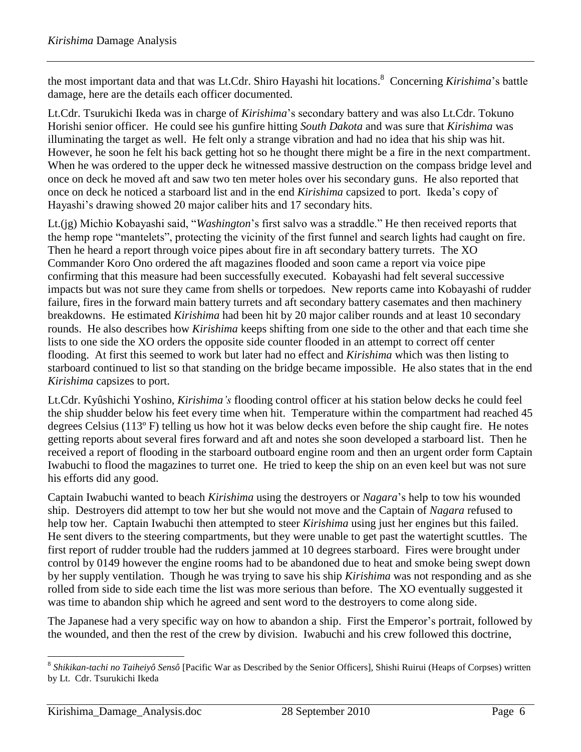the most important data and that was Lt.Cdr. Shiro Hayashi hit locations. <sup>8</sup> Concerning *Kirishima*'s battle damage, here are the details each officer documented.

Lt.Cdr. Tsurukichi Ikeda was in charge of *Kirishima*'s secondary battery and was also Lt.Cdr. Tokuno Horishi senior officer. He could see his gunfire hitting *South Dakota* and was sure that *Kirishima* was illuminating the target as well. He felt only a strange vibration and had no idea that his ship was hit. However, he soon he felt his back getting hot so he thought there might be a fire in the next compartment. When he was ordered to the upper deck he witnessed massive destruction on the compass bridge level and once on deck he moved aft and saw two ten meter holes over his secondary guns. He also reported that once on deck he noticed a starboard list and in the end *Kirishima* capsized to port. Ikeda's copy of Hayashi's drawing showed 20 major caliber hits and 17 secondary hits.

Lt.(jg) Michio Kobayashi said, "*Washington*'s first salvo was a straddle." He then received reports that the hemp rope "mantelets", protecting the vicinity of the first funnel and search lights had caught on fire. Then he heard a report through voice pipes about fire in aft secondary battery turrets. The XO Commander Koro Ono ordered the aft magazines flooded and soon came a report via voice pipe confirming that this measure had been successfully executed. Kobayashi had felt several successive impacts but was not sure they came from shells or torpedoes. New reports came into Kobayashi of rudder failure, fires in the forward main battery turrets and aft secondary battery casemates and then machinery breakdowns. He estimated *Kirishima* had been hit by 20 major caliber rounds and at least 10 secondary rounds. He also describes how *Kirishima* keeps shifting from one side to the other and that each time she lists to one side the XO orders the opposite side counter flooded in an attempt to correct off center flooding. At first this seemed to work but later had no effect and *Kirishima* which was then listing to starboard continued to list so that standing on the bridge became impossible. He also states that in the end *Kirishima* capsizes to port.

Lt.Cdr. Kyûshichi Yoshino, *Kirishima's* flooding control officer at his station below decks he could feel the ship shudder below his feet every time when hit. Temperature within the compartment had reached 45 degrees Celsius (113º F) telling us how hot it was below decks even before the ship caught fire. He notes getting reports about several fires forward and aft and notes she soon developed a starboard list. Then he received a report of flooding in the starboard outboard engine room and then an urgent order form Captain Iwabuchi to flood the magazines to turret one. He tried to keep the ship on an even keel but was not sure his efforts did any good.

Captain Iwabuchi wanted to beach *Kirishima* using the destroyers or *Nagara*'s help to tow his wounded ship. Destroyers did attempt to tow her but she would not move and the Captain of *Nagara* refused to help tow her. Captain Iwabuchi then attempted to steer *Kirishima* using just her engines but this failed. He sent divers to the steering compartments, but they were unable to get past the watertight scuttles. The first report of rudder trouble had the rudders jammed at 10 degrees starboard. Fires were brought under control by 0149 however the engine rooms had to be abandoned due to heat and smoke being swept down by her supply ventilation. Though he was trying to save his ship *Kirishima* was not responding and as she rolled from side to side each time the list was more serious than before. The XO eventually suggested it was time to abandon ship which he agreed and sent word to the destroyers to come along side.

The Japanese had a very specific way on how to abandon a ship. First the Emperor's portrait, followed by the wounded, and then the rest of the crew by division. Iwabuchi and his crew followed this doctrine,

 $\overline{a}$ 8 *Shikikan-tachi no Taiheiyô Sensô* [Pacific War as Described by the Senior Officers], Shishi Ruirui (Heaps of Corpses) written by Lt. Cdr. Tsurukichi Ikeda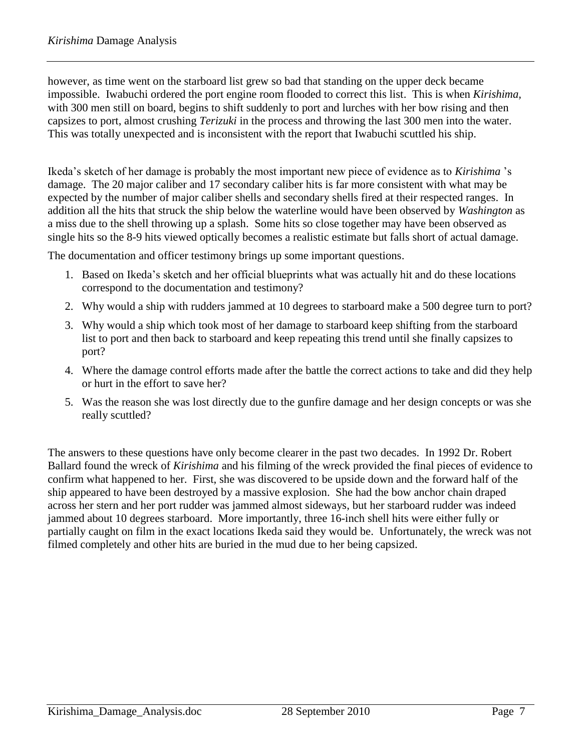however, as time went on the starboard list grew so bad that standing on the upper deck became impossible. Iwabuchi ordered the port engine room flooded to correct this list. This is when *Kirishima,* with 300 men still on board, begins to shift suddenly to port and lurches with her bow rising and then capsizes to port, almost crushing *Terizuki* in the process and throwing the last 300 men into the water. This was totally unexpected and is inconsistent with the report that Iwabuchi scuttled his ship.

Ikeda's sketch of her damage is probably the most important new piece of evidence as to *Kirishima* 's damage. The 20 major caliber and 17 secondary caliber hits is far more consistent with what may be expected by the number of major caliber shells and secondary shells fired at their respected ranges. In addition all the hits that struck the ship below the waterline would have been observed by *Washington* as a miss due to the shell throwing up a splash. Some hits so close together may have been observed as single hits so the 8-9 hits viewed optically becomes a realistic estimate but falls short of actual damage.

The documentation and officer testimony brings up some important questions.

- 1. Based on Ikeda's sketch and her official blueprints what was actually hit and do these locations correspond to the documentation and testimony?
- 2. Why would a ship with rudders jammed at 10 degrees to starboard make a 500 degree turn to port?
- 3. Why would a ship which took most of her damage to starboard keep shifting from the starboard list to port and then back to starboard and keep repeating this trend until she finally capsizes to port?
- 4. Where the damage control efforts made after the battle the correct actions to take and did they help or hurt in the effort to save her?
- 5. Was the reason she was lost directly due to the gunfire damage and her design concepts or was she really scuttled?

The answers to these questions have only become clearer in the past two decades. In 1992 Dr. Robert Ballard found the wreck of *Kirishima* and his filming of the wreck provided the final pieces of evidence to confirm what happened to her. First, she was discovered to be upside down and the forward half of the ship appeared to have been destroyed by a massive explosion. She had the bow anchor chain draped across her stern and her port rudder was jammed almost sideways, but her starboard rudder was indeed jammed about 10 degrees starboard. More importantly, three 16-inch shell hits were either fully or partially caught on film in the exact locations Ikeda said they would be. Unfortunately, the wreck was not filmed completely and other hits are buried in the mud due to her being capsized.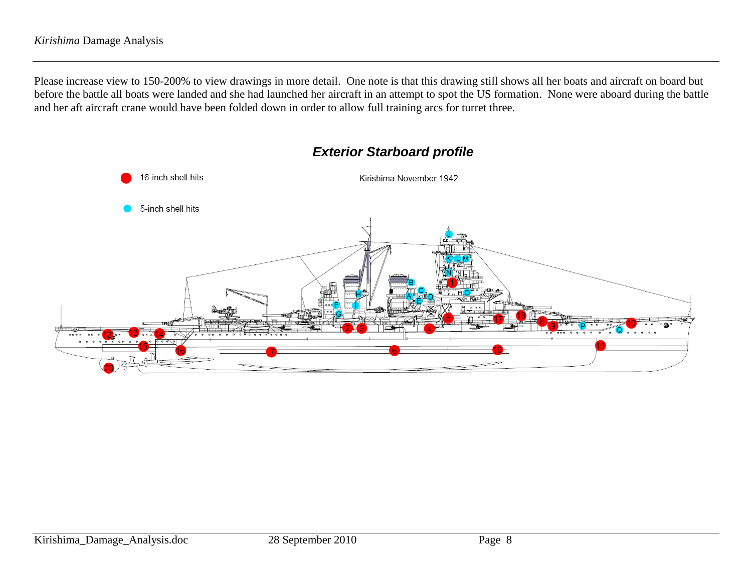Please increase view to 150-200% to view drawings in more detail. One note is that this drawing still shows all her boats and aircraft on board but before the battle all boats were landed and she had launched her aircraft in an attempt to spot the US formation. None were aboard during the battle and her aft aircraft crane would have been folded down in order to allow full training arcs for turret three.



#### *Exterior Starboard profile*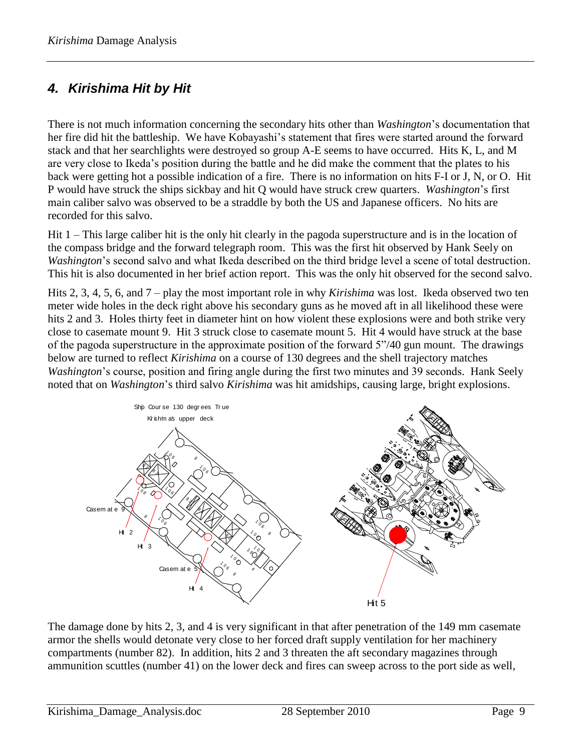## *4. Kirishima Hit by Hit*

There is not much information concerning the secondary hits other than *Washington*'s documentation that her fire did hit the battleship. We have Kobayashi's statement that fires were started around the forward stack and that her searchlights were destroyed so group A-E seems to have occurred. Hits K, L, and M are very close to Ikeda's position during the battle and he did make the comment that the plates to his back were getting hot a possible indication of a fire. There is no information on hits F-I or J, N, or O. Hit P would have struck the ships sickbay and hit Q would have struck crew quarters. *Washington*'s first main caliber salvo was observed to be a straddle by both the US and Japanese officers. No hits are recorded for this salvo.

Hit 1 – This large caliber hit is the only hit clearly in the pagoda superstructure and is in the location of the compass bridge and the forward telegraph room. This was the first hit observed by Hank Seely on *Washington*'s second salvo and what Ikeda described on the third bridge level a scene of total destruction. This hit is also documented in her brief action report. This was the only hit observed for the second salvo.

Hits 2, 3, 4, 5, 6, and 7 – play the most important role in why *Kirishima* was lost. Ikeda observed two ten meter wide holes in the deck right above his secondary guns as he moved aft in all likelihood these were hits 2 and 3. Holes thirty feet in diameter hint on how violent these explosions were and both strike very close to casemate mount 9. Hit 3 struck close to casemate mount 5. Hit 4 would have struck at the base of the pagoda superstructure in the approximate position of the forward 5"/40 gun mount. The drawings below are turned to reflect *Kirishima* on a course of 130 degrees and the shell trajectory matches *Washington*'s course, position and firing angle during the first two minutes and 39 seconds. Hank Seely noted that on *Washington*'s third salvo *Kirishima* was hit amidships, causing large, bright explosions.



The damage done by hits 2, 3, and 4 is very significant in that after penetration of the 149 mm casemate armor the shells would detonate very close to her forced draft supply ventilation for her machinery compartments (number 82). In addition, hits 2 and 3 threaten the aft secondary magazines through ammunition scuttles (number 41) on the lower deck and fires can sweep across to the port side as well,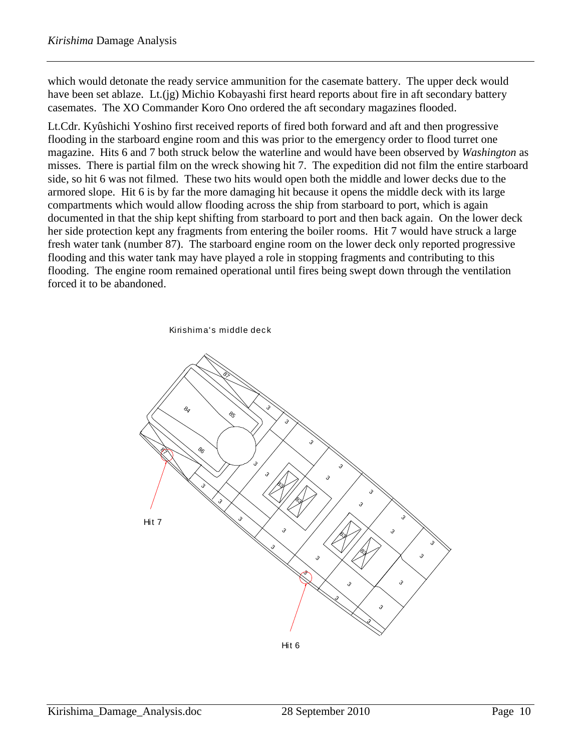which would detonate the ready service ammunition for the casemate battery. The upper deck would have been set ablaze. Lt.(jg) Michio Kobayashi first heard reports about fire in aft secondary battery casemates. The XO Commander Koro Ono ordered the aft secondary magazines flooded.

Lt.Cdr. Kyûshichi Yoshino first received reports of fired both forward and aft and then progressive flooding in the starboard engine room and this was prior to the emergency order to flood turret one magazine. Hits 6 and 7 both struck below the waterline and would have been observed by *Washington* as misses. There is partial film on the wreck showing hit 7. The expedition did not film the entire starboard side, so hit 6 was not filmed. These two hits would open both the middle and lower decks due to the armored slope. Hit 6 is by far the more damaging hit because it opens the middle deck with its large compartments which would allow flooding across the ship from starboard to port, which is again documented in that the ship kept shifting from starboard to port and then back again. On the lower deck her side protection kept any fragments from entering the boiler rooms. Hit 7 would have struck a large fresh water tank (number 87). The starboard engine room on the lower deck only reported progressive flooding and this water tank may have played a role in stopping fragments and contributing to this flooding. The engine room remained operational until fires being swept down through the ventilation forced it to be abandoned.

Kirishima's middle deck



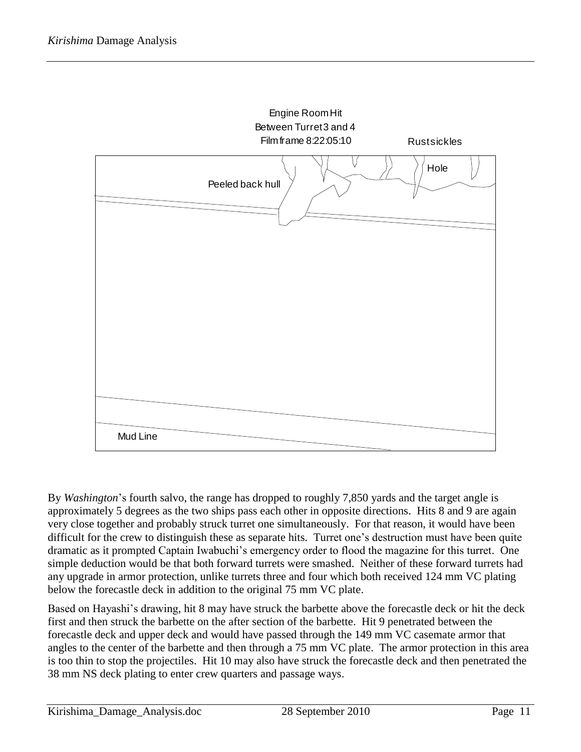

By *Washington*'s fourth salvo, the range has dropped to roughly 7,850 yards and the target angle is approximately 5 degrees as the two ships pass each other in opposite directions. Hits 8 and 9 are again very close together and probably struck turret one simultaneously. For that reason, it would have been difficult for the crew to distinguish these as separate hits. Turret one's destruction must have been quite dramatic as it prompted Captain Iwabuchi's emergency order to flood the magazine for this turret. One simple deduction would be that both forward turrets were smashed. Neither of these forward turrets had any upgrade in armor protection, unlike turrets three and four which both received 124 mm VC plating below the forecastle deck in addition to the original 75 mm VC plate.

Based on Hayashi's drawing, hit 8 may have struck the barbette above the forecastle deck or hit the deck first and then struck the barbette on the after section of the barbette. Hit 9 penetrated between the forecastle deck and upper deck and would have passed through the 149 mm VC casemate armor that angles to the center of the barbette and then through a 75 mm VC plate. The armor protection in this area is too thin to stop the projectiles. Hit 10 may also have struck the forecastle deck and then penetrated the 38 mm NS deck plating to enter crew quarters and passage ways.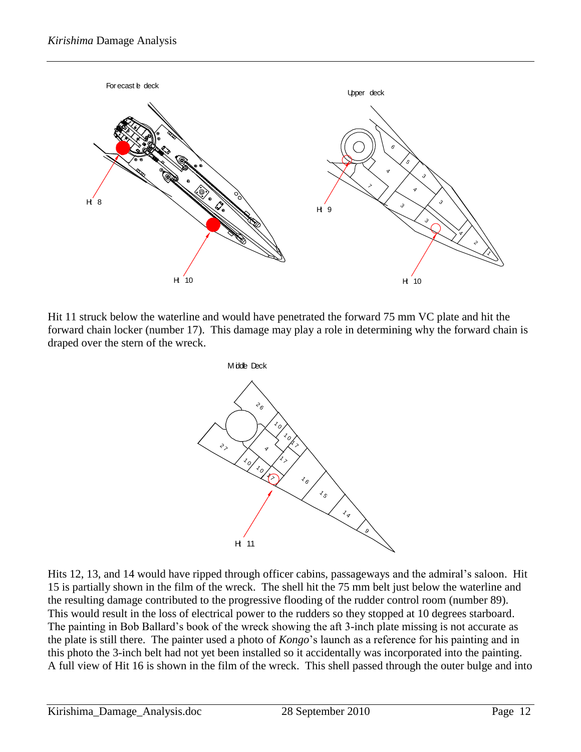

Hit 11 struck below the waterline and would have penetrated the forward 75 mm VC plate and hit the forward chain locker (number 17). This damage may play a role in determining why the forward chain is draped over the stern of the wreck.



Hits 12, 13, and 14 would have ripped through officer cabins, passageways and the admiral's saloon. Hit 15 is partially shown in the film of the wreck. The shell hit the 75 mm belt just below the waterline and the resulting damage contributed to the progressive flooding of the rudder control room (number 89). This would result in the loss of electrical power to the rudders so they stopped at 10 degrees starboard. The painting in Bob Ballard's book of the wreck showing the aft 3-inch plate missing is not accurate as the plate is still there. The painter used a photo of *Kongo*'s launch as a reference for his painting and in this photo the 3-inch belt had not yet been installed so it accidentally was incorporated into the painting. A full view of Hit 16 is shown in the film of the wreck. This shell passed through the outer bulge and into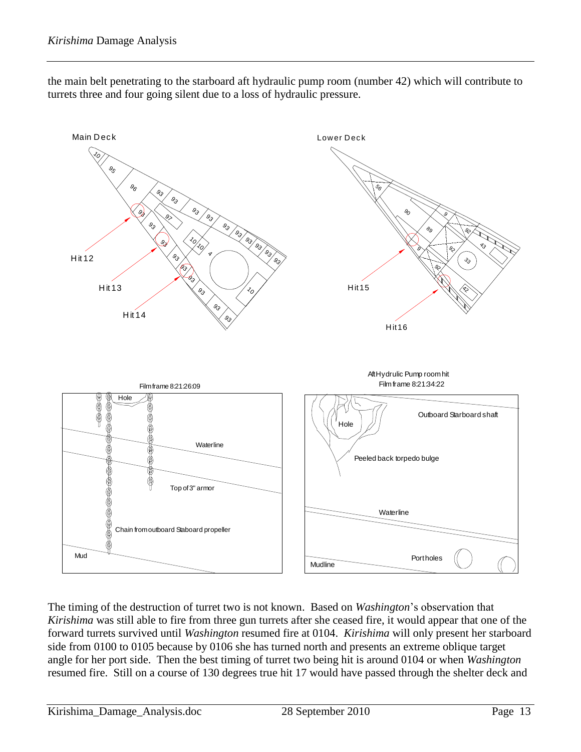



The timing of the destruction of turret two is not known. Based on *Washington*'s observation that *Kirishima* was still able to fire from three gun turrets after she ceased fire, it would appear that one of the forward turrets survived until *Washington* resumed fire at 0104. *Kirishima* will only present her starboard side from 0100 to 0105 because by 0106 she has turned north and presents an extreme oblique target angle for her port side. Then the best timing of turret two being hit is around 0104 or when *Washington* resumed fire. Still on a course of 130 degrees true hit 17 would have passed through the shelter deck and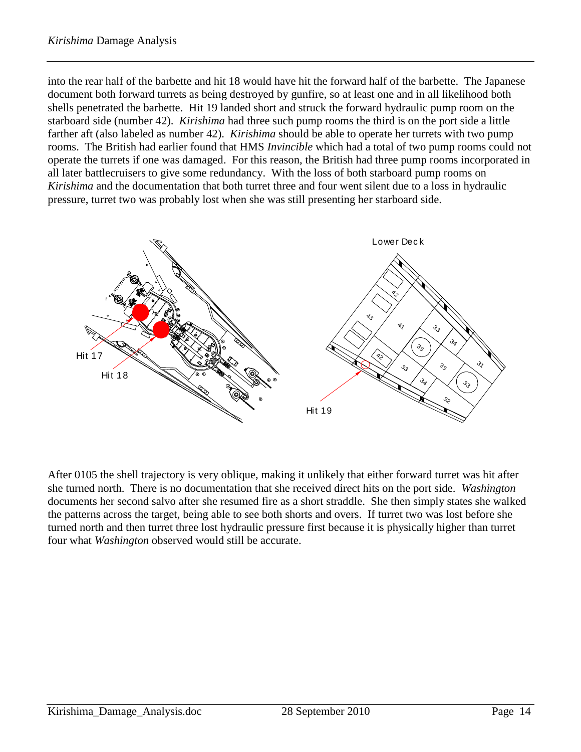into the rear half of the barbette and hit 18 would have hit the forward half of the barbette. The Japanese document both forward turrets as being destroyed by gunfire, so at least one and in all likelihood both shells penetrated the barbette. Hit 19 landed short and struck the forward hydraulic pump room on the starboard side (number 42). *Kirishima* had three such pump rooms the third is on the port side a little farther aft (also labeled as number 42). *Kirishima* should be able to operate her turrets with two pump rooms. The British had earlier found that HMS *Invincible* which had a total of two pump rooms could not operate the turrets if one was damaged. For this reason, the British had three pump rooms incorporated in all later battlecruisers to give some redundancy. With the loss of both starboard pump rooms on *Kirishima* and the documentation that both turret three and four went silent due to a loss in hydraulic pressure, turret two was probably lost when she was still presenting her starboard side.



After 0105 the shell trajectory is very oblique, making it unlikely that either forward turret was hit after she turned north. There is no documentation that she received direct hits on the port side. *Washington* documents her second salvo after she resumed fire as a short straddle. She then simply states she walked the patterns across the target, being able to see both shorts and overs. If turret two was lost before she turned north and then turret three lost hydraulic pressure first because it is physically higher than turret four what *Washington* observed would still be accurate.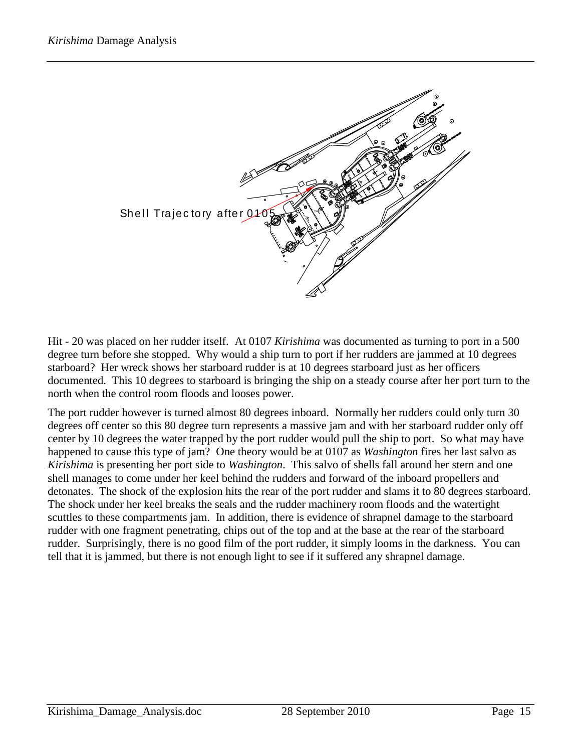

Hit - 20 was placed on her rudder itself. At 0107 *Kirishima* was documented as turning to port in a 500 degree turn before she stopped. Why would a ship turn to port if her rudders are jammed at 10 degrees starboard? Her wreck shows her starboard rudder is at 10 degrees starboard just as her officers documented. This 10 degrees to starboard is bringing the ship on a steady course after her port turn to the north when the control room floods and looses power.

The port rudder however is turned almost 80 degrees inboard. Normally her rudders could only turn 30 degrees off center so this 80 degree turn represents a massive jam and with her starboard rudder only off center by 10 degrees the water trapped by the port rudder would pull the ship to port. So what may have happened to cause this type of jam? One theory would be at 0107 as *Washington* fires her last salvo as *Kirishima* is presenting her port side to *Washington*. This salvo of shells fall around her stern and one shell manages to come under her keel behind the rudders and forward of the inboard propellers and detonates. The shock of the explosion hits the rear of the port rudder and slams it to 80 degrees starboard. The shock under her keel breaks the seals and the rudder machinery room floods and the watertight scuttles to these compartments jam. In addition, there is evidence of shrapnel damage to the starboard rudder with one fragment penetrating, chips out of the top and at the base at the rear of the starboard rudder. Surprisingly, there is no good film of the port rudder, it simply looms in the darkness. You can tell that it is jammed, but there is not enough light to see if it suffered any shrapnel damage.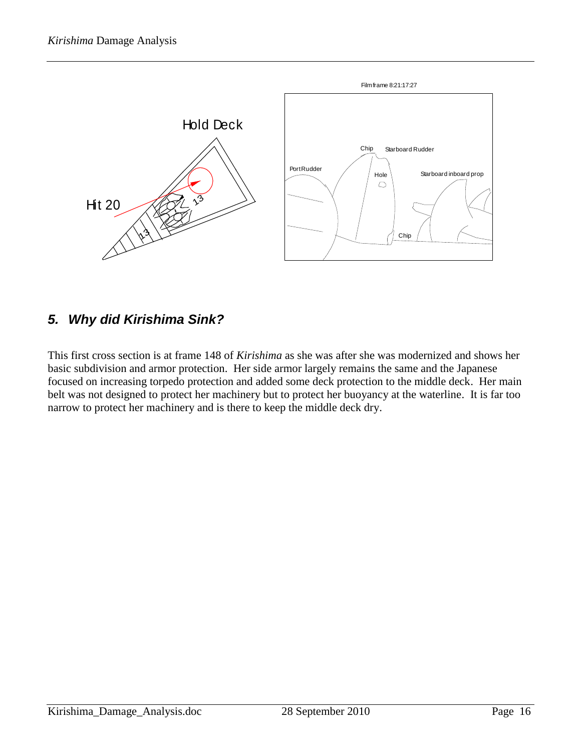

## *5. Why did Kirishima Sink?*

This first cross section is at frame 148 of *Kirishima* as she was after she was modernized and shows her basic subdivision and armor protection. Her side armor largely remains the same and the Japanese focused on increasing torpedo protection and added some deck protection to the middle deck. Her main belt was not designed to protect her machinery but to protect her buoyancy at the waterline. It is far too narrow to protect her machinery and is there to keep the middle deck dry.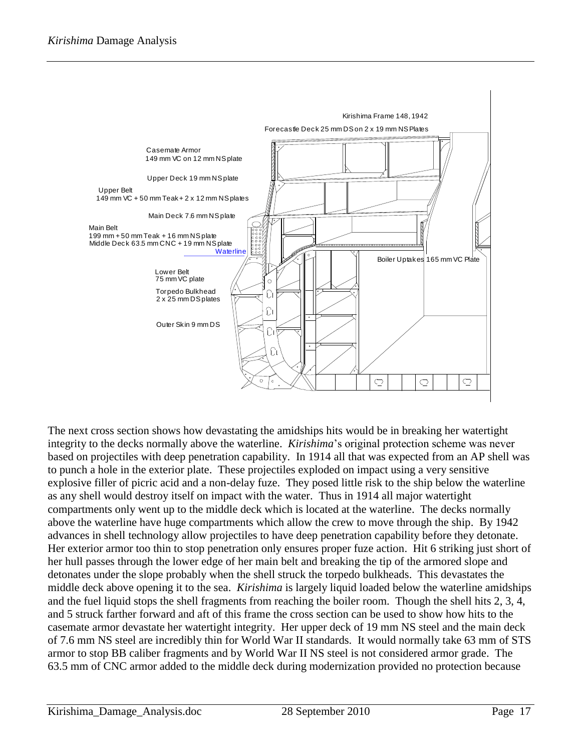

The next cross section shows how devastating the amidships hits would be in breaking her watertight integrity to the decks normally above the waterline. *Kirishima*'s original protection scheme was never based on projectiles with deep penetration capability. In 1914 all that was expected from an AP shell was to punch a hole in the exterior plate. These projectiles exploded on impact using a very sensitive explosive filler of picric acid and a non-delay fuze. They posed little risk to the ship below the waterline as any shell would destroy itself on impact with the water. Thus in 1914 all major watertight compartments only went up to the middle deck which is located at the waterline. The decks normally above the waterline have huge compartments which allow the crew to move through the ship. By 1942 advances in shell technology allow projectiles to have deep penetration capability before they detonate. Her exterior armor too thin to stop penetration only ensures proper fuze action. Hit 6 striking just short of her hull passes through the lower edge of her main belt and breaking the tip of the armored slope and detonates under the slope probably when the shell struck the torpedo bulkheads. This devastates the middle deck above opening it to the sea. *Kirishima* is largely liquid loaded below the waterline amidships and the fuel liquid stops the shell fragments from reaching the boiler room. Though the shell hits 2, 3, 4, and 5 struck farther forward and aft of this frame the cross section can be used to show how hits to the casemate armor devastate her watertight integrity. Her upper deck of 19 mm NS steel and the main deck of 7.6 mm NS steel are incredibly thin for World War II standards. It would normally take 63 mm of STS armor to stop BB caliber fragments and by World War II NS steel is not considered armor grade. The 63.5 mm of CNC armor added to the middle deck during modernization provided no protection because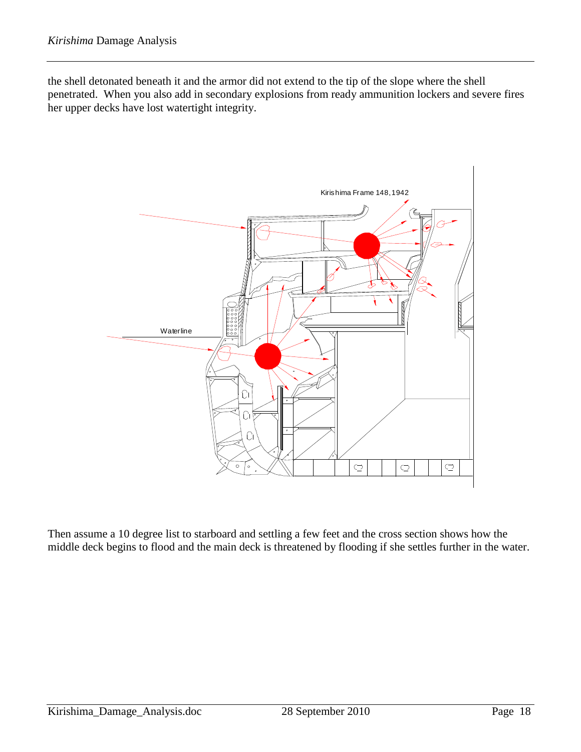the shell detonated beneath it and the armor did not extend to the tip of the slope where the shell penetrated. When you also add in secondary explosions from ready ammunition lockers and severe fires her upper decks have lost watertight integrity.



Then assume a 10 degree list to starboard and settling a few feet and the cross section shows how the middle deck begins to flood and the main deck is threatened by flooding if she settles further in the water.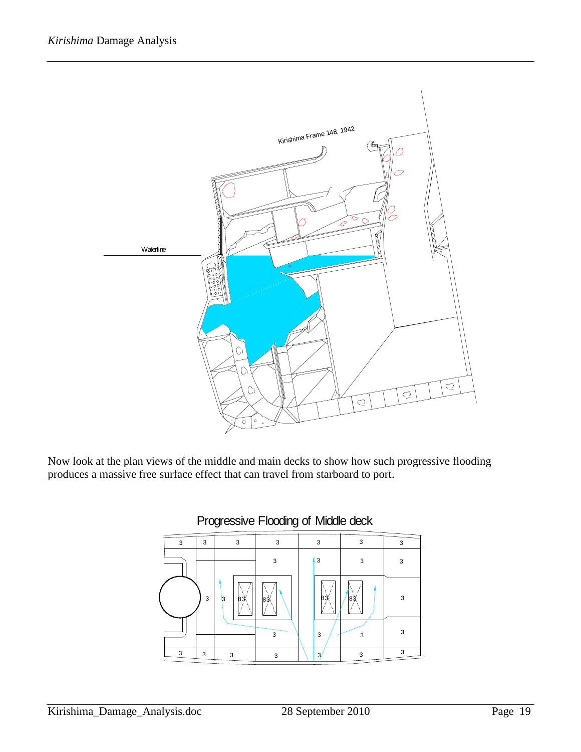

Now look at the plan views of the middle and main decks to show how such progressive flooding produces a massive free surface effect that can travel from starboard to port.



#### Progressive Flooding of Middle deck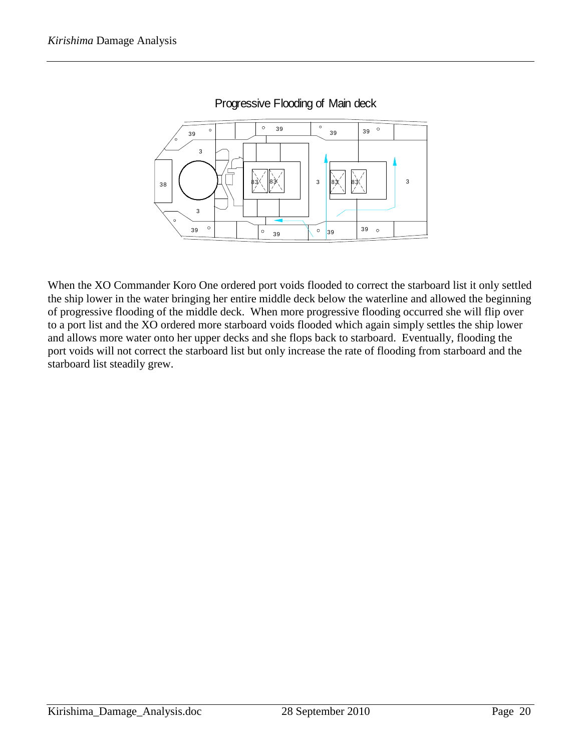

#### Progressive Flooding of Main deck

When the XO Commander Koro One ordered port voids flooded to correct the starboard list it only settled the ship lower in the water bringing her entire middle deck below the waterline and allowed the beginning of progressive flooding of the middle deck. When more progressive flooding occurred she will flip over to a port list and the XO ordered more starboard voids flooded which again simply settles the ship lower and allows more water onto her upper decks and she flops back to starboard. Eventually, flooding the port voids will not correct the starboard list but only increase the rate of flooding from starboard and the starboard list steadily grew.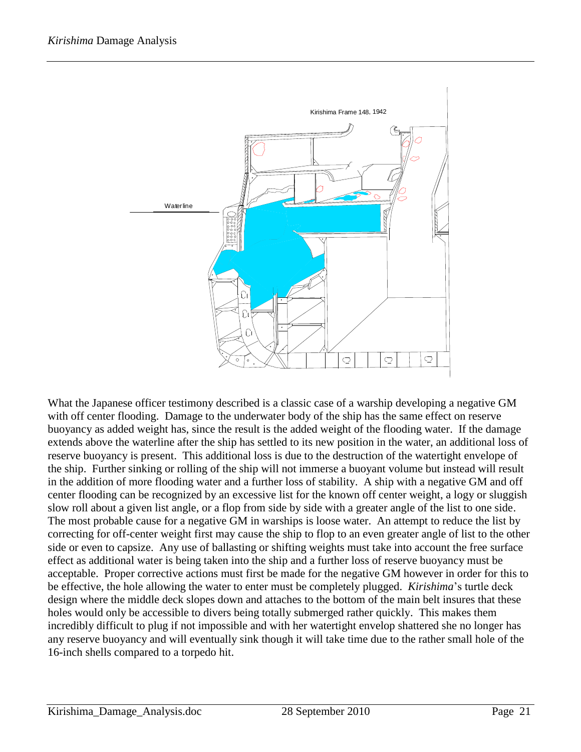

**Example 2011**<br>
What the Japanese of ficer testimuon described is a classic case of a warship developing a negative GM<br>
With off center flooding. Darmage to the undervalue field of weight of the footing water. If the dama What the Japanese officer testimony described is a classic case of a warship developing a negative GM with off center flooding. Damage to the underwater body of the ship has the same effect on reserve buoyancy as added weight has, since the result is the added weight of the flooding water. If the damage extends above the waterline after the ship has settled to its new position in the water, an additional loss of reserve buoyancy is present. This additional loss is due to the destruction of the watertight envelope of the ship. Further sinking or rolling of the ship will not immerse a buoyant volume but instead will result in the addition of more flooding water and a further loss of stability. A ship with a negative GM and off center flooding can be recognized by an excessive list for the known off center weight, a logy or sluggish slow roll about a given list angle, or a flop from side by side with a greater angle of the list to one side. The most probable cause for a negative GM in warships is loose water. An attempt to reduce the list by correcting for off-center weight first may cause the ship to flop to an even greater angle of list to the other side or even to capsize. Any use of ballasting or shifting weights must take into account the free surface effect as additional water is being taken into the ship and a further loss of reserve buoyancy must be acceptable. Proper corrective actions must first be made for the negative GM however in order for this to be effective, the hole allowing the water to enter must be completely plugged. *Kirishima*'s turtle deck design where the middle deck slopes down and attaches to the bottom of the main belt insures that these holes would only be accessible to divers being totally submerged rather quickly. This makes them incredibly difficult to plug if not impossible and with her watertight envelop shattered she no longer has any reserve buoyancy and will eventually sink though it will take time due to the rather small hole of the 16-inch shells compared to a torpedo hit.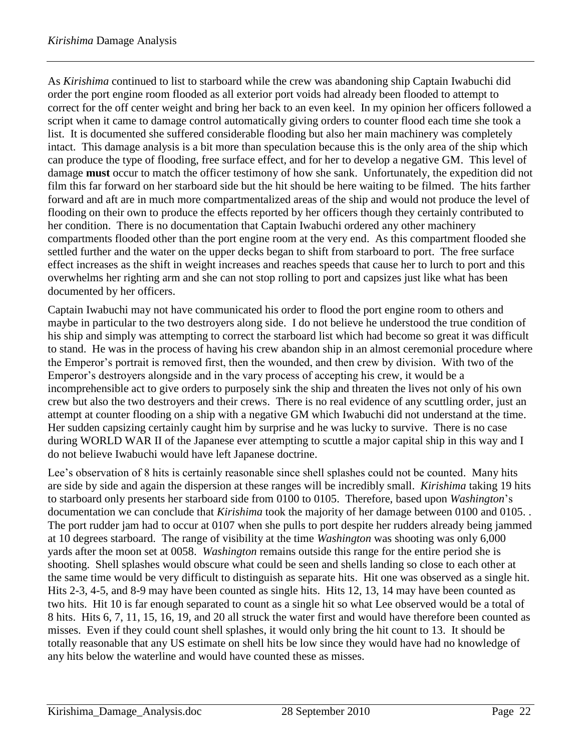As *Kirishima* continued to list to starboard while the crew was abandoning ship Captain Iwabuchi did order the port engine room flooded as all exterior port voids had already been flooded to attempt to correct for the off center weight and bring her back to an even keel. In my opinion her officers followed a script when it came to damage control automatically giving orders to counter flood each time she took a list. It is documented she suffered considerable flooding but also her main machinery was completely intact. This damage analysis is a bit more than speculation because this is the only area of the ship which can produce the type of flooding, free surface effect, and for her to develop a negative GM. This level of damage **must** occur to match the officer testimony of how she sank. Unfortunately, the expedition did not film this far forward on her starboard side but the hit should be here waiting to be filmed. The hits farther forward and aft are in much more compartmentalized areas of the ship and would not produce the level of flooding on their own to produce the effects reported by her officers though they certainly contributed to her condition. There is no documentation that Captain Iwabuchi ordered any other machinery compartments flooded other than the port engine room at the very end. As this compartment flooded she settled further and the water on the upper decks began to shift from starboard to port. The free surface effect increases as the shift in weight increases and reaches speeds that cause her to lurch to port and this overwhelms her righting arm and she can not stop rolling to port and capsizes just like what has been documented by her officers.

Captain Iwabuchi may not have communicated his order to flood the port engine room to others and maybe in particular to the two destroyers along side. I do not believe he understood the true condition of his ship and simply was attempting to correct the starboard list which had become so great it was difficult to stand. He was in the process of having his crew abandon ship in an almost ceremonial procedure where the Emperor's portrait is removed first, then the wounded, and then crew by division. With two of the Emperor's destroyers alongside and in the vary process of accepting his crew, it would be a incomprehensible act to give orders to purposely sink the ship and threaten the lives not only of his own crew but also the two destroyers and their crews. There is no real evidence of any scuttling order, just an attempt at counter flooding on a ship with a negative GM which Iwabuchi did not understand at the time. Her sudden capsizing certainly caught him by surprise and he was lucky to survive. There is no case during WORLD WAR II of the Japanese ever attempting to scuttle a major capital ship in this way and I do not believe Iwabuchi would have left Japanese doctrine.

Lee's observation of 8 hits is certainly reasonable since shell splashes could not be counted. Many hits are side by side and again the dispersion at these ranges will be incredibly small. *Kirishima* taking 19 hits to starboard only presents her starboard side from 0100 to 0105. Therefore, based upon *Washington*'s documentation we can conclude that *Kirishima* took the majority of her damage between 0100 and 0105. . The port rudder jam had to occur at 0107 when she pulls to port despite her rudders already being jammed at 10 degrees starboard. The range of visibility at the time *Washington* was shooting was only 6,000 yards after the moon set at 0058. *Washington* remains outside this range for the entire period she is shooting. Shell splashes would obscure what could be seen and shells landing so close to each other at the same time would be very difficult to distinguish as separate hits. Hit one was observed as a single hit. Hits 2-3, 4-5, and 8-9 may have been counted as single hits. Hits 12, 13, 14 may have been counted as two hits. Hit 10 is far enough separated to count as a single hit so what Lee observed would be a total of 8 hits. Hits 6, 7, 11, 15, 16, 19, and 20 all struck the water first and would have therefore been counted as misses. Even if they could count shell splashes, it would only bring the hit count to 13. It should be totally reasonable that any US estimate on shell hits be low since they would have had no knowledge of any hits below the waterline and would have counted these as misses.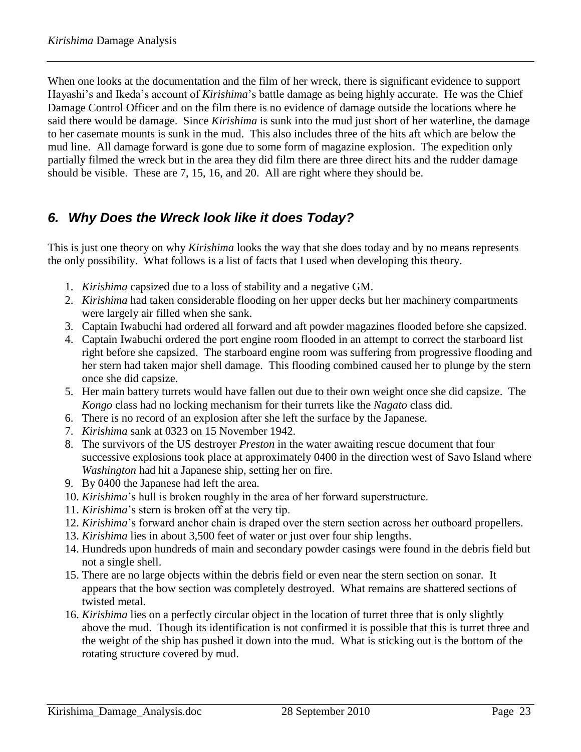When one looks at the documentation and the film of her wreck, there is significant evidence to support Hayashi's and Ikeda's account of *Kirishima*'s battle damage as being highly accurate. He was the Chief Damage Control Officer and on the film there is no evidence of damage outside the locations where he said there would be damage. Since *Kirishima* is sunk into the mud just short of her waterline, the damage to her casemate mounts is sunk in the mud. This also includes three of the hits aft which are below the mud line. All damage forward is gone due to some form of magazine explosion. The expedition only partially filmed the wreck but in the area they did film there are three direct hits and the rudder damage should be visible. These are 7, 15, 16, and 20. All are right where they should be.

# *6. Why Does the Wreck look like it does Today?*

This is just one theory on why *Kirishima* looks the way that she does today and by no means represents the only possibility. What follows is a list of facts that I used when developing this theory.

- 1. *Kirishima* capsized due to a loss of stability and a negative GM.
- 2. *Kirishima* had taken considerable flooding on her upper decks but her machinery compartments were largely air filled when she sank.
- 3. Captain Iwabuchi had ordered all forward and aft powder magazines flooded before she capsized.
- 4. Captain Iwabuchi ordered the port engine room flooded in an attempt to correct the starboard list right before she capsized. The starboard engine room was suffering from progressive flooding and her stern had taken major shell damage. This flooding combined caused her to plunge by the stern once she did capsize.
- 5. Her main battery turrets would have fallen out due to their own weight once she did capsize. The *Kongo* class had no locking mechanism for their turrets like the *Nagato* class did.
- 6. There is no record of an explosion after she left the surface by the Japanese.
- 7. *Kirishima* sank at 0323 on 15 November 1942.
- 8. The survivors of the US destroyer *Preston* in the water awaiting rescue document that four successive explosions took place at approximately 0400 in the direction west of Savo Island where *Washington* had hit a Japanese ship, setting her on fire.
- 9. By 0400 the Japanese had left the area.
- 10. *Kirishima*'s hull is broken roughly in the area of her forward superstructure.
- 11. *Kirishima*'s stern is broken off at the very tip.
- 12. *Kirishima*'s forward anchor chain is draped over the stern section across her outboard propellers.
- 13. *Kirishima* lies in about 3,500 feet of water or just over four ship lengths.
- 14. Hundreds upon hundreds of main and secondary powder casings were found in the debris field but not a single shell.
- 15. There are no large objects within the debris field or even near the stern section on sonar. It appears that the bow section was completely destroyed. What remains are shattered sections of twisted metal.
- 16. *Kirishima* lies on a perfectly circular object in the location of turret three that is only slightly above the mud. Though its identification is not confirmed it is possible that this is turret three and the weight of the ship has pushed it down into the mud. What is sticking out is the bottom of the rotating structure covered by mud.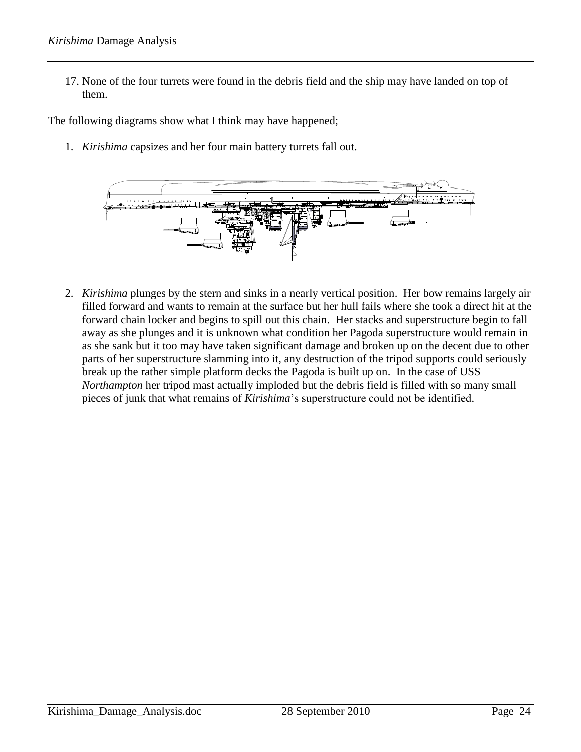17. None of the four turrets were found in the debris field and the ship may have landed on top of them.

The following diagrams show what I think may have happened;

1. *Kirishima* capsizes and her four main battery turrets fall out.



2. *Kirishima* plunges by the stern and sinks in a nearly vertical position. Her bow remains largely air filled forward and wants to remain at the surface but her hull fails where she took a direct hit at the forward chain locker and begins to spill out this chain. Her stacks and superstructure begin to fall away as she plunges and it is unknown what condition her Pagoda superstructure would remain in as she sank but it too may have taken significant damage and broken up on the decent due to other parts of her superstructure slamming into it, any destruction of the tripod supports could seriously break up the rather simple platform decks the Pagoda is built up on. In the case of USS *Northampton* her tripod mast actually imploded but the debris field is filled with so many small pieces of junk that what remains of *Kirishima*'s superstructure could not be identified.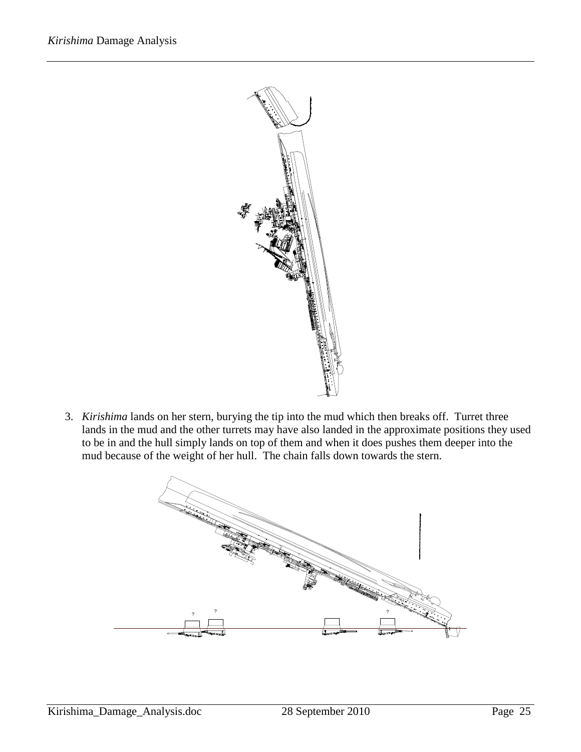

3. *Kirishima* lands on her stern, burying the tip into the mud which then breaks off. Turret three lands in the mud and the other turrets may have also landed in the approximate positions they used to be in and the hull simply lands on top of them and when it does pushes them deeper into the mud because of the weight of her hull. The chain falls down towards the stern.

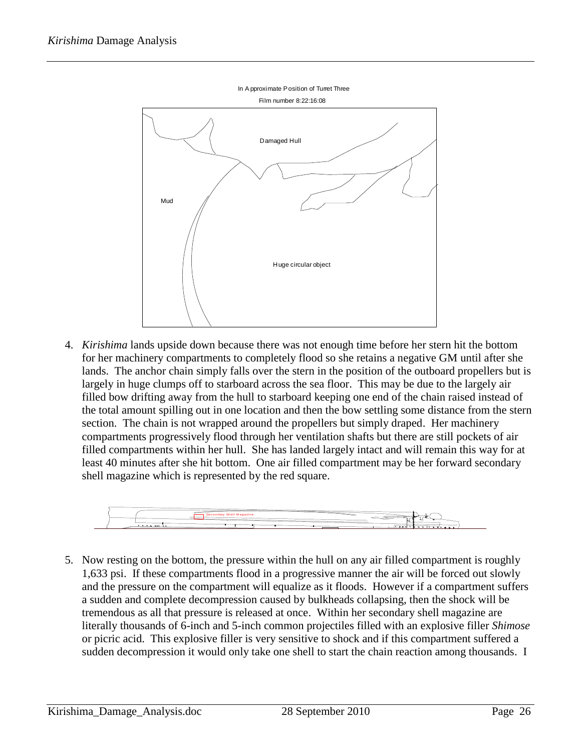

4. *Kirishima* lands upside down because there was not enough time before her stern hit the bottom for her machinery compartments to completely flood so she retains a negative GM until after she lands. The anchor chain simply falls over the stern in the position of the outboard propellers but is largely in huge clumps off to starboard across the sea floor. This may be due to the largely air filled bow drifting away from the hull to starboard keeping one end of the chain raised instead of the total amount spilling out in one location and then the bow settling some distance from the stern section. The chain is not wrapped around the propellers but simply draped. Her machinery compartments progressively flood through her ventilation shafts but there are still pockets of air filled compartments within her hull. She has landed largely intact and will remain this way for at least 40 minutes after she hit bottom. One air filled compartment may be her forward secondary shell magazine which is represented by the red square.



5. Now resting on the bottom, the pressure within the hull on any air filled compartment is roughly 1,633 psi. If these compartments flood in a progressive manner the air will be forced out slowly and the pressure on the compartment will equalize as it floods. However if a compartment suffers a sudden and complete decompression caused by bulkheads collapsing, then the shock will be tremendous as all that pressure is released at once. Within her secondary shell magazine are literally thousands of 6-inch and 5-inch common projectiles filled with an explosive filler *Shimose* or picric acid. This explosive filler is very sensitive to shock and if this compartment suffered a sudden decompression it would only take one shell to start the chain reaction among thousands. I